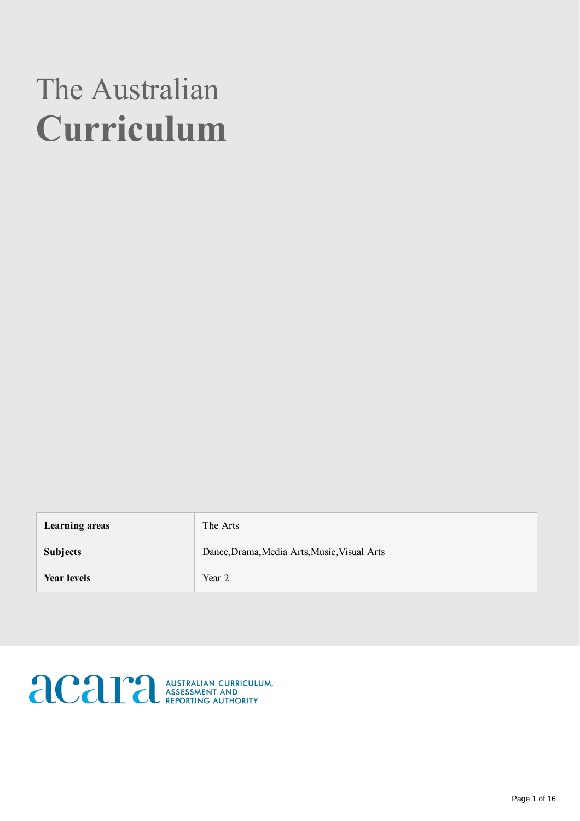# The Australian Curriculum

| Learning areas     | The Arts                                     |
|--------------------|----------------------------------------------|
| <b>Subjects</b>    | Dance, Drama, Media Arts, Music, Visual Arts |
| <b>Year levels</b> | Year 2                                       |

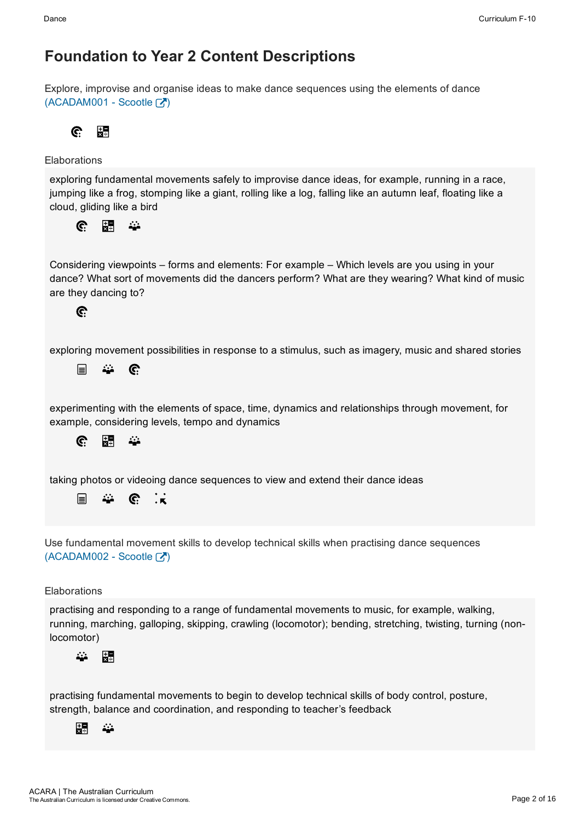Explore, improvise and organise ideas to make dance sequences using the elements of dance  $(ACADAM001 - ScoreE)$ 

黒 C.

### Elaborations

exploring fundamental movements safely to improvise dance ideas, for example, running in a race, jumping like a frog, stomping like a giant, rolling like a log, falling like an autumn leaf, floating like a cloud, gliding like a bird

開  $\mathbb{C}$  $\mathcal{L}_{\mathcal{L}}$ 

Considering viewpoints – forms and elements: For example – Which levels are you using in your dance? What sort of movements did the dancers perform? What are they wearing? What kind of music are they dancing to?

### C.

exploring movement possibilities in response to a stimulus, such as imagery, music and shared stories

目 22  $\mathbf{C}$ 

experimenting with the elements of space, time, dynamics and relationships through movement, for example, considering levels, tempo and dynamics



taking photos or videoing dance sequences to view and extend their dance ideas



Use fundamental movement skills to develop technical skills when practising dance sequences  $(ACADAM002 - ScoreE)$ 

### **Elaborations**

practising and responding to a range of fundamental movements to music, for example, walking, running, marching, galloping, skipping, crawling (locomotor); bending, stretching, twisting, turning (nonlocomotor)



practising fundamental movements to begin to develop technical skills of body control, posture, strength, balance and coordination, and responding to teacher's feedback

#### 駻 <u>М.</u>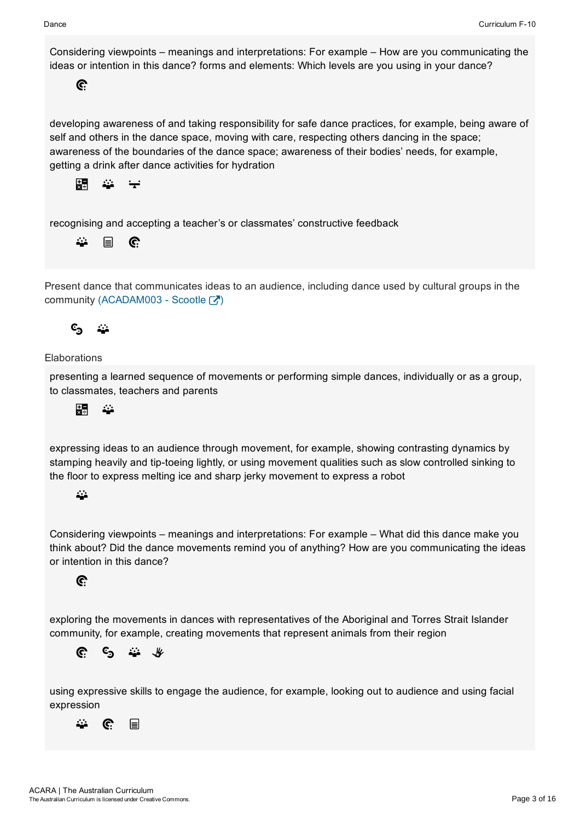Considering viewpoints – meanings and interpretations: For example – How are you communicating the ideas or intention in this dance? forms and elements: Which levels are you using in your dance?

### $\mathbf{C}$

developing awareness of and taking responsibility for safe dance practices, for example, being aware of self and others in the dance space, moving with care, respecting others dancing in the space; awareness of the boundaries of the dance space; awareness of their bodies' needs, for example, getting a drink after dance activities for hydration



recognising and accepting a teacher's or classmates' constructive feedback

#### 22 目  $\mathbf{C}$

Present dance that communicates ideas to an audience, including dance used by cultural groups in the community (ACADAM003 - Scootle  $\boxed{3}$ )

## $c_{\mathbf{a}}$

### **Elaborations**

presenting a learned sequence of movements or performing simple dances, individually or as a group, to classmates, teachers and parents



expressing ideas to an audience through movement, for example, showing contrasting dynamics by stamping heavily and tip-toeing lightly, or using movement qualities such as slow controlled sinking to the floor to express melting ice and sharp jerky movement to express a robot

### $\ddot{\phantom{a}}$

Considering viewpoints – meanings and interpretations: For example – What did this dance make you think about? Did the dance movements remind you of anything? How are you communicating the ideas or intention in this dance?

### C.

exploring the movements in dances with representatives of the Aboriginal and Torres Strait Islander community, for example, creating movements that represent animals from their region

 $c_{\mathbf{5}}$ 22 L C.  $\mu$ 

using expressive skills to engage the audience, for example, looking out to audience and using facial expression

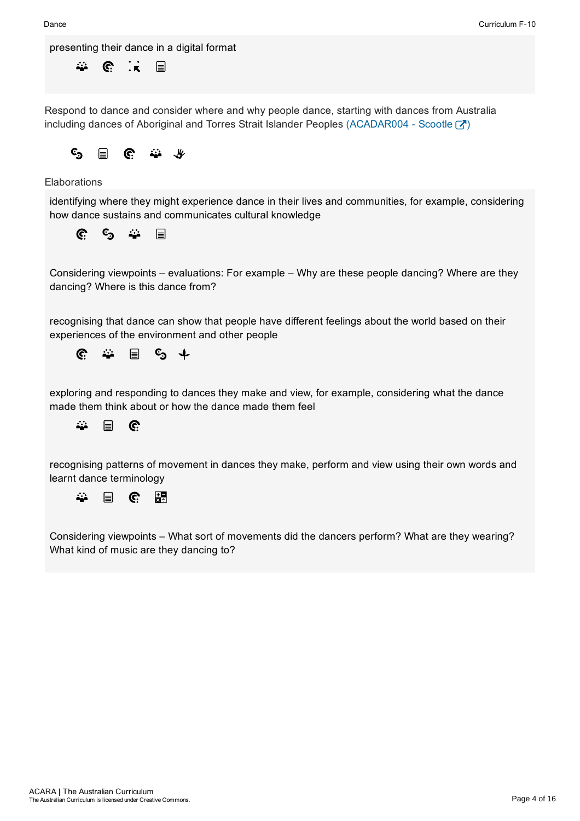presenting their dance in a digital format

44  $\mathbf{\widehat{C}}$  $\ddot{\cdot}$ 目

Respond to dance and consider where and why people dance, starting with dances from Australia including dances of Aboriginal and Torres Strait Islander Peoples (ACADAR004 - Scootle  $\begin{bmatrix} \nearrow \\ \nearrow \end{bmatrix}$ )



### **Elaborations**

identifying where they might experience dance in their lives and communities, for example, considering how dance sustains and communicates cultural knowledge



Considering viewpoints – evaluations: For example – Why are these people dancing? Where are they dancing? Where is this dance from?

recognising that dance can show that people have different feelings about the world based on their experiences of the environment and other people



exploring and responding to dances they make and view, for example, considering what the dance made them think about or how the dance made them feel



recognising patterns of movement in dances they make, perform and view using their own words and learnt dance terminology

 $\mathcal{L}$ 疆 目 C.

Considering viewpoints – What sort of movements did the dancers perform? What are they wearing? What kind of music are they dancing to?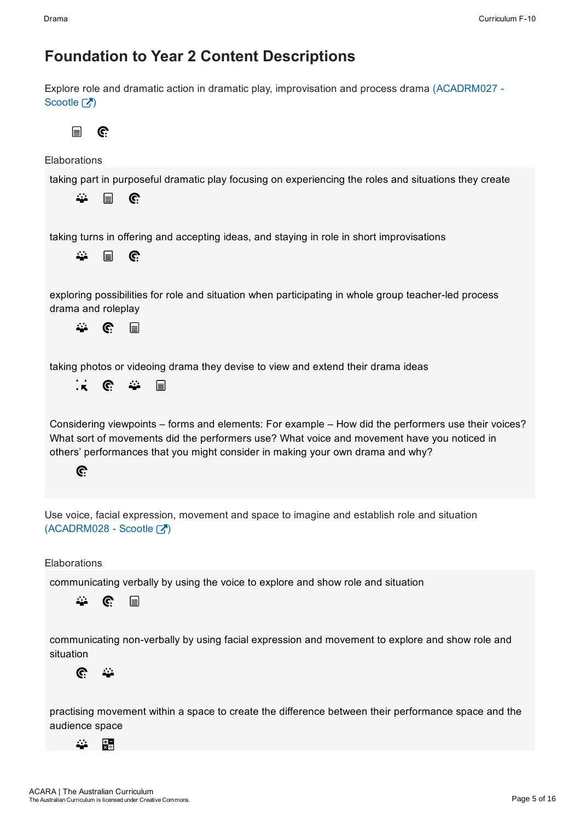Explore role and dramatic action in dramatic play, improvisation and process drama (ACADRM027 Scootle  $\lceil \sqrt{2} \rceil$ 

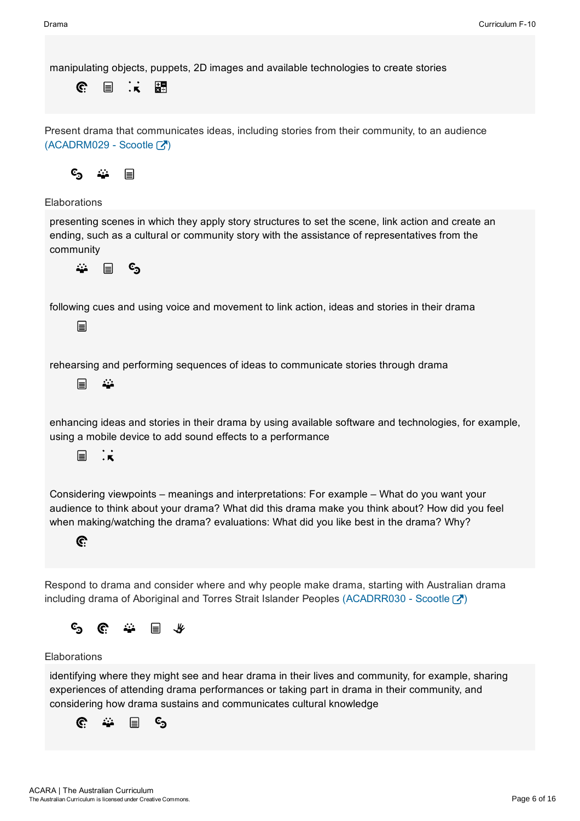manipulating objects, puppets, 2D images and available technologies to create stories

 $\cdot$  .  $\mathbb{C}$ 目 題

Present drama that communicates ideas, including stories from their community, to an audience  $(ACADRM029 - ScoreIC)$ 



Elaborations

presenting scenes in which they apply story structures to set the scene, link action and create an ending, such as a cultural or community story with the assistance of representatives from the community

 $c_{\mathbf{S}}$  $\ddot{\mathbf{r}}$  $\mathbf{r}$ 

following cues and using voice and movement to link action, ideas and stories in their drama

目

rehearsing and performing sequences of ideas to communicate stories through drama

 $\blacksquare$  $\ddot{\mathbf{z}}$ 

enhancing ideas and stories in their drama by using available software and technologies, for example, using a mobile device to add sound effects to a performance

目  $\cdot$   $\cdot$ 

Considering viewpoints – meanings and interpretations: For example – What do you want your audience to think about your drama? What did this drama make you think about? How did you feel when making/watching the drama? evaluations: What did you like best in the drama? Why?



Respond to drama and consider where and why people make drama, starting with Australian drama including drama of Aboriginal and Torres Strait Islander Peoples (ACADRR030 - Scootle  $\mathbb{Z}$ )



### Elaborations

identifying where they might see and hear drama in their lives and community, for example, sharing experiences of attending drama performances or taking part in drama in their community, and considering how drama sustains and communicates cultural knowledge

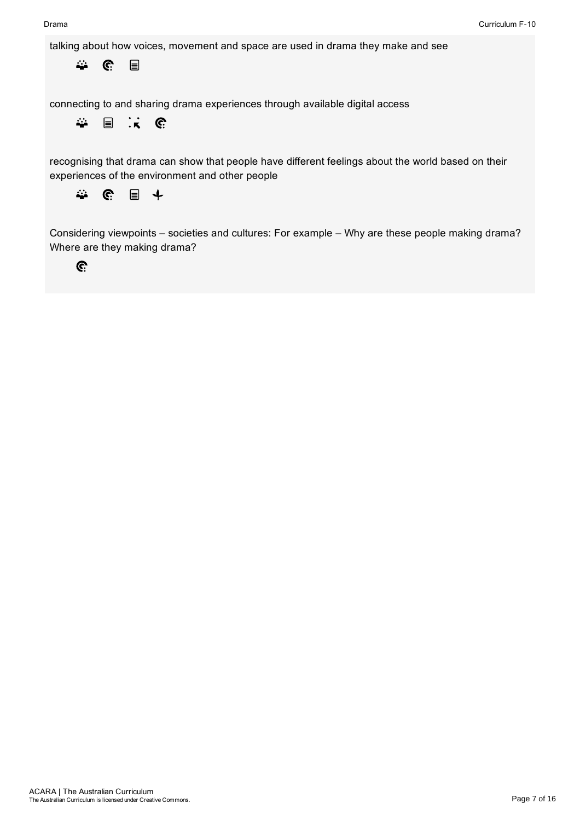talking about how voices, movement and space are used in drama they make and see

 $\mathcal{L}$  $\mathbf{\hat{c}}$ 目

connecting to and sharing drama experiences through available digital access

 $\mathbf{R}$  $\ddot{\omega}$ 目 <u>଼େ</u>

recognising that drama can show that people have different feelings about the world based on their experiences of the environment and other people



Considering viewpoints – societies and cultures: For example – Why are these people making drama? Where are they making drama?

 $\mathbf{C}$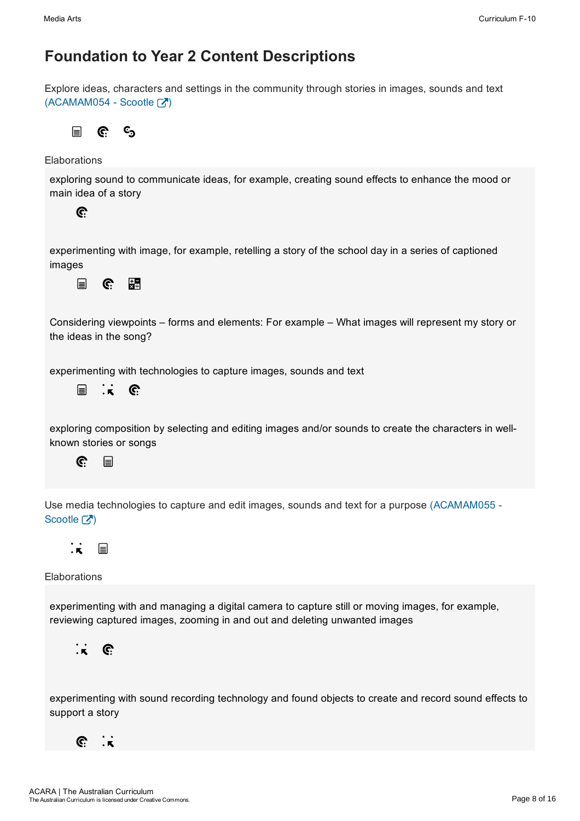Explore ideas, characters and settings in the community through stories in images, sounds and text  $(ACAMAM054 - ScoreE)$ 

 $c_{\mathbf{5}}$ 目 C.

Elaborations

exploring sound to communicate ideas, for example, creating sound effects to enhance the mood or main idea of a story



experimenting with image, for example, retelling a story of the school day in a series of captioned images

疆  $\Box$ C.

Considering viewpoints – forms and elements: For example – What images will represent my story or the ideas in the song?

experimenting with technologies to capture images, sounds and text

目  $\mathbf{R}$  $\mathbf{C}$ 

exploring composition by selecting and editing images and/or sounds to create the characters in wellknown stories or songs



Use media technologies to capture and edit images, sounds and text for a purpose (ACAMAM055 Scootle  $\lceil \sqrt{2} \rceil$ 



**Elaborations** 

experimenting with and managing a digital camera to capture still or moving images, for example, reviewing captured images, zooming in and out and deleting unwanted images



experimenting with sound recording technology and found objects to create and record sound effects to support a story

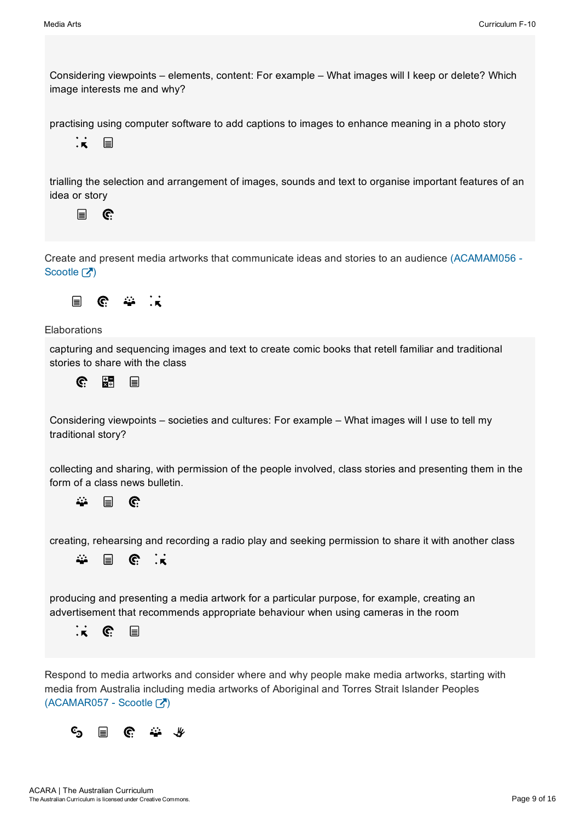Considering viewpoints – elements, content: For example – What images will I keep or delete? Which image interests me and why?

practising using computer software to add captions to images to enhance meaning in a photo story



trialling the selection and arrangement of images, sounds and text to organise important features of an idea or story

 $\mathbf{r}$ C.

Create and present media artworks that communicate ideas and stories to an audience (ACAMAM056 Scootle  $\boxed{7}$ 



Elaborations

capturing and sequencing images and text to create comic books that retell familiar and traditional stories to share with the class

 $\widehat{C}$ 頣 目

Considering viewpoints – societies and cultures: For example – What images will I use to tell my traditional story?

collecting and sharing, with permission of the people involved, class stories and presenting them in the form of a class news bulletin.

22  $\mathbf{C}$ 目

creating, rehearsing and recording a radio play and seeking permission to share it with another class



producing and presenting a media artwork for a particular purpose, for example, creating an advertisement that recommends appropriate behaviour when using cameras in the room



Respond to media artworks and consider where and why people make media artworks, starting with media from Australia including media artworks of Aboriginal and Torres Strait Islander Peoples  $(ACAMAR057 -$ Scootle  $\boxed{7}$ 

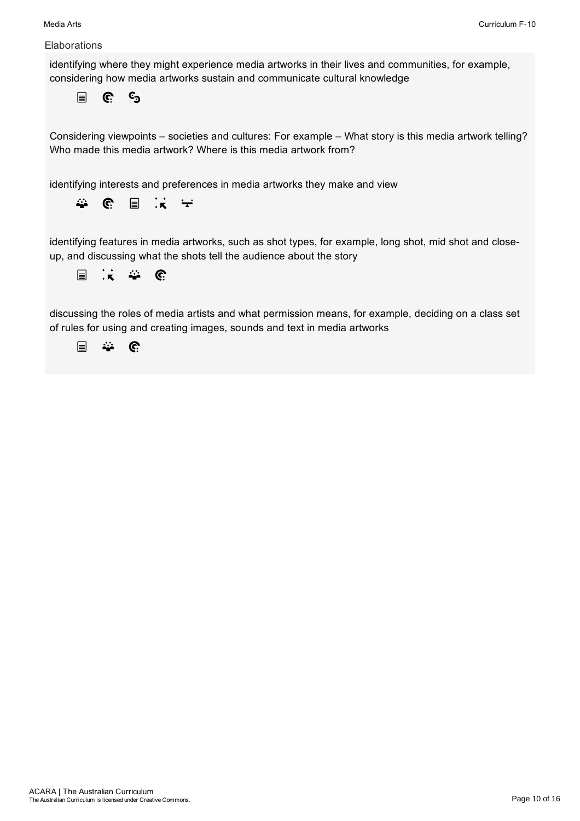### **Elaborations**

identifying where they might experience media artworks in their lives and communities, for example, considering how media artworks sustain and communicate cultural knowledge

 $\Box$  $\mathbf{C}$  $c_{\mathbf{5}}$ 

Considering viewpoints – societies and cultures: For example – What story is this media artwork telling? Who made this media artwork? Where is this media artwork from?

identifying interests and preferences in media artworks they make and view



identifying features in media artworks, such as shot types, for example, long shot, mid shot and closeup, and discussing what the shots tell the audience about the story

$$
\equiv \begin{array}{cc} \vdots & \hat{\mathbf{w}} & \hat{\mathbf{c}} \end{array}
$$

discussing the roles of media artists and what permission means, for example, deciding on a class set of rules for using and creating images, sounds and text in media artworks

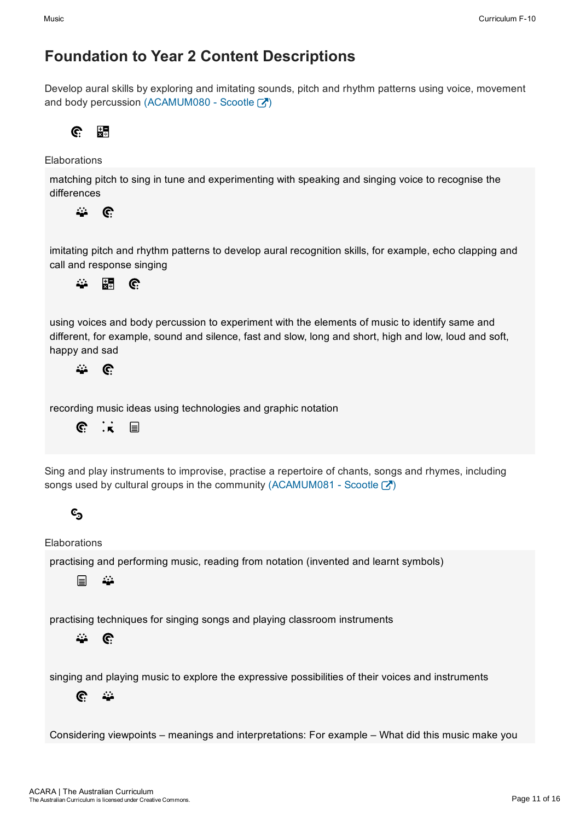Develop aural skills by exploring and imitating sounds, pitch and rhythm patterns using voice, movement and body percussion (ACAMUM080 - Scootle  $\boxed{7}$ )

C. 駻

Elaborations

matching pitch to sing in tune and experimenting with speaking and singing voice to recognise the differences

益  $\mathbf{C}$ 

imitating pitch and rhythm patterns to develop aural recognition skills, for example, echo clapping and call and response singing



using voices and body percussion to experiment with the elements of music to identify same and different, for example, sound and silence, fast and slow, long and short, high and low, loud and soft, happy and sad

 $\mathcal{L}_{\mathcal{L}}$  $\mathbf{C}$ 

recording music ideas using technologies and graphic notation

 $\mathbf{\widehat{C}}$  $\cdot$   $\overline{\mathbf{x}}$ 冒

Sing and play instruments to improvise, practise a repertoire of chants, songs and rhymes, including songs used by cultural groups in the community (ACAMUM081 - Scootle  $\mathbb{Z}$ )

# င့<sub>၁</sub>

**Elaborations** 

practising and performing music, reading from notation (invented and learnt symbols)

目 22

practising techniques for singing songs and playing classroom instruments

 $\ddot{\omega}$  $\mathbf{\widehat{C}}$ 

singing and playing music to explore the expressive possibilities of their voices and instruments

 $\mathbf{C}$  $\ddot{\mathbf{u}}$ 

Considering viewpoints – meanings and interpretations: For example – What did this music make you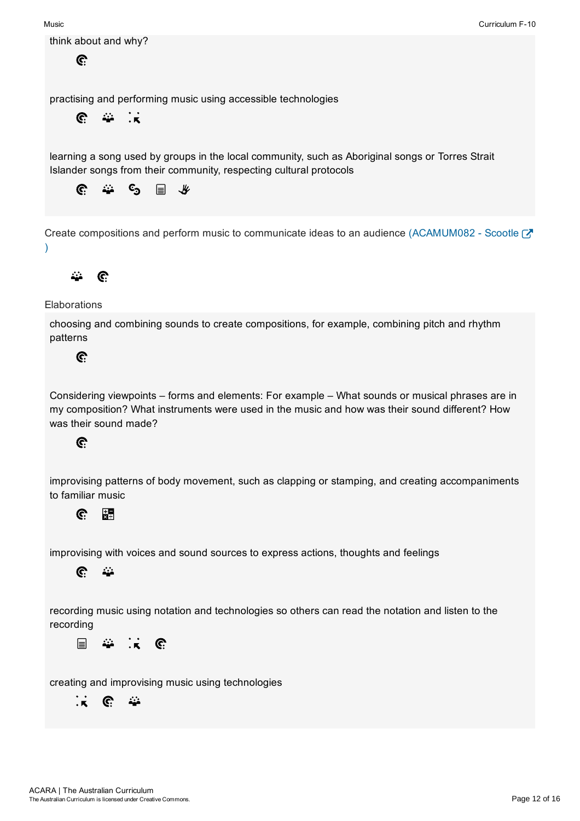

 $\mathbf{C}$ 

practising and performing music using accessible technologies

 $\mathbf{C}$  $\mathbf{r}$  $\cdot$  .

learning a song used by groups in the local community, such as Aboriginal songs or Torres Strait Islander songs from their community, respecting cultural protocols



Create compositions and perform music to communicate ideas to an audience (ACAMUM082 - Scootle  $\mathbb{Z}$ )



**Elaborations** 

choosing and combining sounds to create compositions, for example, combining pitch and rhythm patterns

C.

Considering viewpoints – forms and elements: For example – What sounds or musical phrases are in my composition? What instruments were used in the music and how was their sound different? How was their sound made?

### $\mathbf{C}$

improvising patterns of body movement, such as clapping or stamping, and creating accompaniments to familiar music

#### 題  $\mathbf{C}$

improvising with voices and sound sources to express actions, thoughts and feelings



recording music using notation and technologies so others can read the notation and listen to the recording

 $\mathbf{R}$ 目 ₩ C.

creating and improvising music using technologies

 $\mathbf{\dot{r}}$  $\mathbf{C}$ 44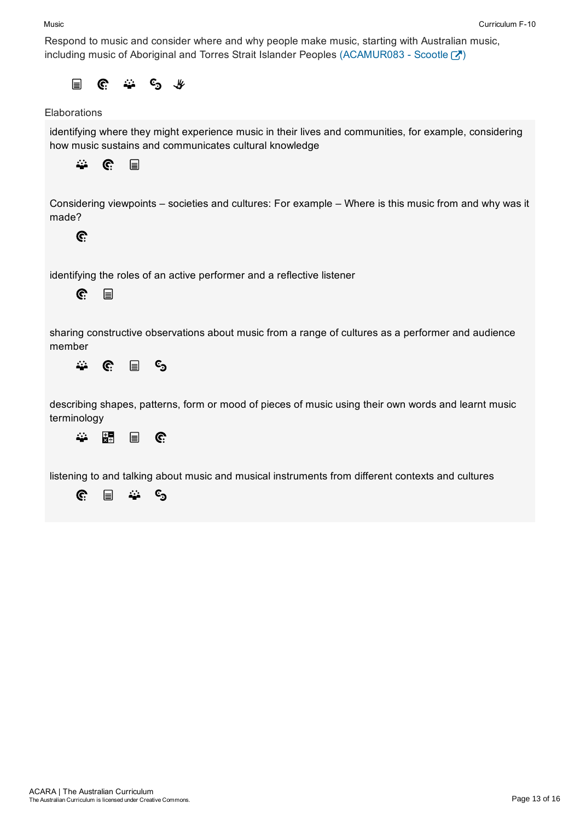#### Music

Respond to music and consider where and why people make music, starting with Australian music, including music of Aboriginal and Torres Strait Islander Peoples (ACAMUR083 - Scootle  $\mathbb{Z}$ )

and the second state.  $\Box$  $\mathbf{C}$  $C_{\supset \neg \psi}$ 

### **Elaborations**

identifying where they might experience music in their lives and communities, for example, considering how music sustains and communicates cultural knowledge



Considering viewpoints – societies and cultures: For example – Where is this music from and why was it made?



identifying the roles of an active performer and a reflective listener



sharing constructive observations about music from a range of cultures as a performer and audience member

 $c_{\mathfrak{I}}$  $\mathcal{L}_{\mathcal{L}}$  $\mathbf{C}$ 冒

describing shapes, patterns, form or mood of pieces of music using their own words and learnt music terminology



listening to and talking about music and musical instruments from different contexts and cultures

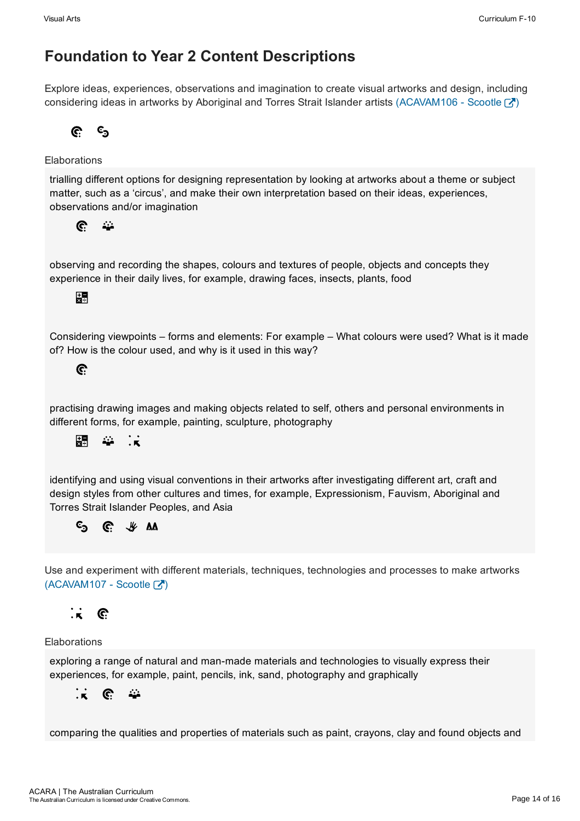Explore ideas, experiences, observations and imagination to create visual artworks and design, including considering ideas in artworks by Aboriginal and Torres Strait Islander artists (ACAVAM106 - Scootle  $\overline{A}$ )

C.  $\mathbf{c}_\mathbf{a}$ 

### Elaborations

trialling different options for designing representation by looking at artworks about a theme or subject matter, such as a 'circus', and make their own interpretation based on their ideas, experiences, observations and/or imagination

 $\mathbb{C}$  $\ddot{\omega}$ 

observing and recording the shapes, colours and textures of people, objects and concepts they experience in their daily lives, for example, drawing faces, insects, plants, food

### 開

Considering viewpoints – forms and elements: For example – What colours were used? What is it made of? How is the colour used, and why is it used in this way?

### $\mathbf{C}$

practising drawing images and making objects related to self, others and personal environments in different forms, for example, painting, sculpture, photography



identifying and using visual conventions in their artworks after investigating different art, craft and design styles from other cultures and times, for example, Expressionism, Fauvism, Aboriginal and Torres Strait Islander Peoples, and Asia

#### $C:$   $\#$  AA  $c_{\mathbf{5}}$

Use and experiment with different materials, techniques, technologies and processes to make artworks  $(ACAVAM107 - ScoreE)$ 

#### $\cdot$  . G.

### Elaborations

exploring a range of natural and man-made materials and technologies to visually express their experiences, for example, paint, pencils, ink, sand, photography and graphically

#### $\mathbb{C}$  $\mathbf{K}$ 44

comparing the qualities and properties of materials such as paint, crayons, clay and found objects and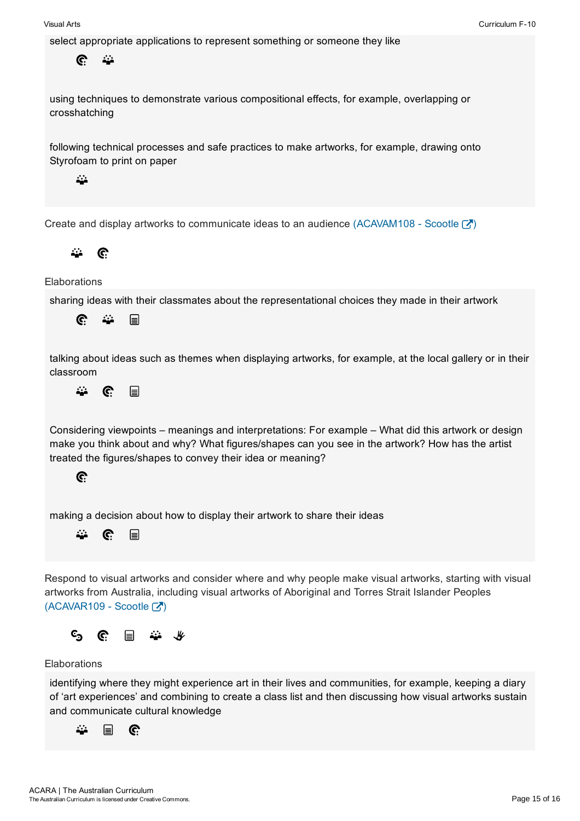



#### Elaborations

identifying where they might experience art in their lives and communities, for example, keeping a diary of 'art experiences' and combining to create a class list and then discussing how visual artworks sustain and communicate cultural knowledge